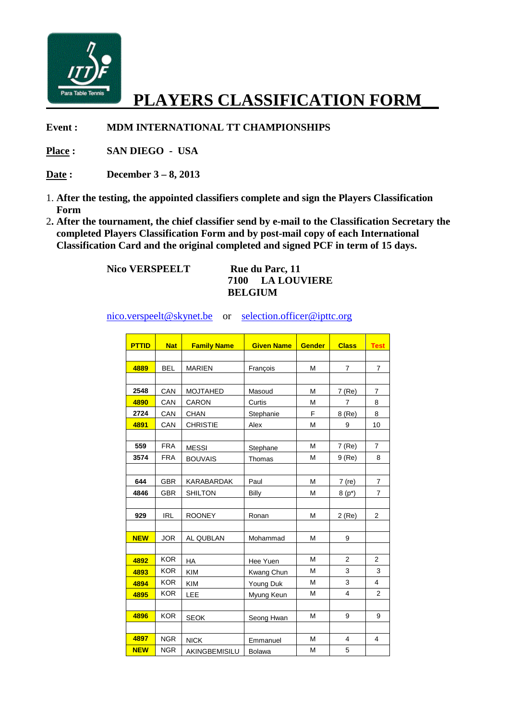

## **PLAYERS CLASSIFICATION FORM\_\_**

**Event : MDM INTERNATIONAL TT CHAMPIONSHIPS**

**Place : SAN DIEGO - USA** 

**Date : December 3 – 8, 2013** 

- 1. **After the testing, the appointed classifiers complete and sign the Players Classification Form**
- 2**. After the tournament, the chief classifier send by e-mail to the Classification Secretary the completed Players Classification Form and by post-mail copy of each International Classification Card and the original completed and signed PCF in term of 15 days.**

**Nico VERSPEELT** Rue du Parc, 11

## **7100 LA LOUVIERE BELGIUM**

nico.verspeelt@skynet.be or selection.officer@ipttc.org

| <b>PTTID</b> | <b>Nat</b> | <b>Family Name</b> | <b>Given Name</b> | <b>Gender</b> | <b>Class</b>   | <b>Test</b>    |
|--------------|------------|--------------------|-------------------|---------------|----------------|----------------|
|              |            |                    |                   |               |                |                |
| 4889         | <b>BEL</b> | <b>MARIEN</b>      | François          | м             | $\overline{7}$ | $\overline{7}$ |
|              |            |                    |                   |               |                |                |
| 2548         | CAN        | <b>MOJTAHED</b>    | Masoud            | M             | 7 (Re)         | 7              |
| 4890         | CAN        | CARON              | Curtis            | M             | 7              | 8              |
| 2724         | CAN        | <b>CHAN</b>        | Stephanie         | F             | 8 (Re)         | 8              |
| 4891         | CAN        | <b>CHRISTIE</b>    | Alex              | M             | 9              | 10             |
|              |            |                    |                   |               |                |                |
| 559          | <b>FRA</b> | <b>MESSI</b>       | Stephane          | M             | 7 (Re)         | 7              |
| 3574         | <b>FRA</b> | <b>BOUVAIS</b>     | Thomas            | M             | $9$ (Re)       | 8              |
|              |            |                    |                   |               |                |                |
| 644          | <b>GBR</b> | KARABARDAK         | Paul              | М             | $7$ (re)       | 7              |
| 4846         | GBR        | <b>SHILTON</b>     | Billy             | M             | $8(p^*)$       | 7              |
|              |            |                    |                   |               |                |                |
| 929          | <b>IRL</b> | <b>ROONEY</b>      | Ronan             | M             | $2$ (Re)       | $\overline{2}$ |
|              |            |                    |                   |               |                |                |
| <b>NEW</b>   | <b>JOR</b> | AL QUBLAN          | Mohammad          | M             | 9              |                |
|              |            |                    |                   |               |                |                |
| 4892         | <b>KOR</b> | <b>HA</b>          | Hee Yuen          | м             | 2              | 2              |
| 4893         | <b>KOR</b> | <b>KIM</b>         | Kwang Chun        | M             | 3              | 3              |
| 4894         | <b>KOR</b> | <b>KIM</b>         | Young Duk         | M             | 3              | 4              |
| 4895         | <b>KOR</b> | LEE                | Myung Keun        | M             | $\overline{4}$ | $\overline{2}$ |
|              |            |                    |                   |               |                |                |
| 4896         | <b>KOR</b> | <b>SEOK</b>        | Seong Hwan        | M             | 9              | 9              |
|              |            |                    |                   |               |                |                |
| 4897         | <b>NGR</b> | <b>NICK</b>        | Emmanuel          | M             | 4              | 4              |
| <b>NEW</b>   | <b>NGR</b> | AKINGBEMISILU      | <b>Bolawa</b>     | M             | 5              |                |